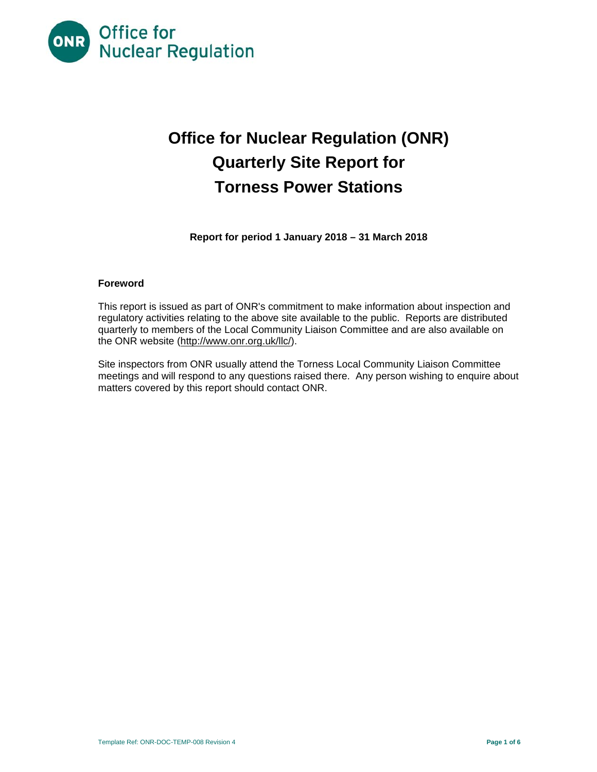

# **Office for Nuclear Regulation (ONR) Quarterly Site Report for Torness Power Stations**

**Report for period 1 January 2018 – 31 March 2018** 

## **Foreword**

This report is issued as part of ONR's commitment to make information about inspection and regulatory activities relating to the above site available to the public. Reports are distributed quarterly to members of the Local Community Liaison Committee and are also available on the ONR website (http://www.onr.org.uk/llc/).

Site inspectors from ONR usually attend the Torness Local Community Liaison Committee meetings and will respond to any questions raised there. Any person wishing to enquire about matters covered by this report should contact ONR.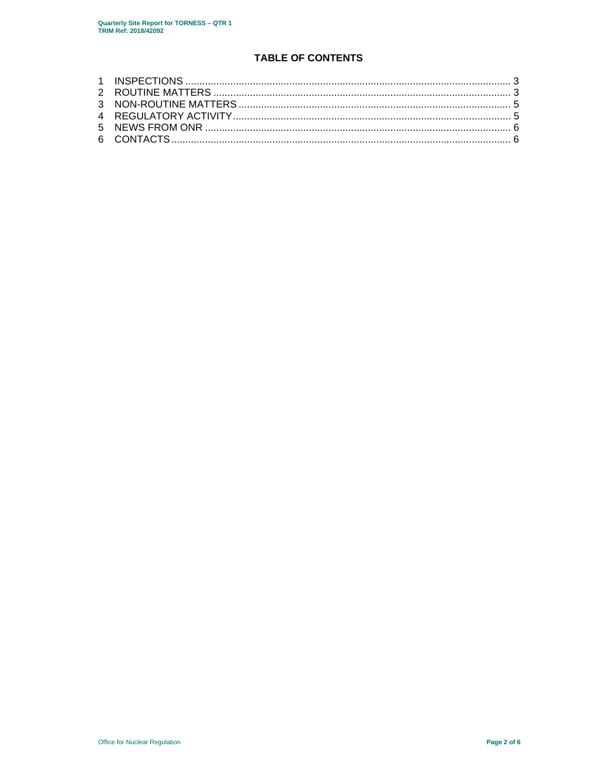# **TABLE OF CONTENTS**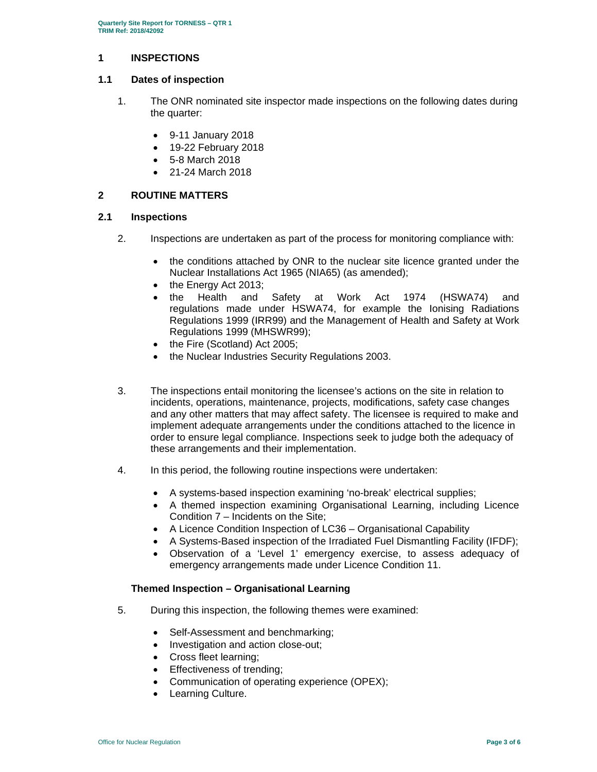## **1 INSPECTIONS**

### **1.1 Dates of inspection**

- 1. The ONR nominated site inspector made inspections on the following dates during the quarter:
	- 9-11 January 2018
	- 19-22 February 2018
	- 5-8 March 2018
	- 21-24 March 2018

# **2 ROUTINE MATTERS**

#### **2.1 Inspections**

- 2. Inspections are undertaken as part of the process for monitoring compliance with:
	- the conditions attached by ONR to the nuclear site licence granted under the Nuclear Installations Act 1965 (NIA65) (as amended);
	- the Energy Act 2013;
	- the Health and Safety at Work Act 1974 (HSWA74) and regulations made under HSWA74, for example the Ionising Radiations Regulations 1999 (IRR99) and the Management of Health and Safety at Work Regulations 1999 (MHSWR99);
	- the Fire (Scotland) Act 2005;
	- the Nuclear Industries Security Regulations 2003.
- 3. The inspections entail monitoring the licensee's actions on the site in relation to incidents, operations, maintenance, projects, modifications, safety case changes and any other matters that may affect safety. The licensee is required to make and implement adequate arrangements under the conditions attached to the licence in order to ensure legal compliance. Inspections seek to judge both the adequacy of these arrangements and their implementation.
- 4. In this period, the following routine inspections were undertaken:
	- A systems-based inspection examining 'no-break' electrical supplies;
	- A themed inspection examining Organisational Learning, including Licence Condition 7 – Incidents on the Site;
	- A Licence Condition Inspection of LC36 Organisational Capability
	- A Systems-Based inspection of the Irradiated Fuel Dismantling Facility (IFDF);
	- Observation of a 'Level 1' emergency exercise, to assess adequacy of emergency arrangements made under Licence Condition 11.

#### **Themed Inspection – Organisational Learning**

- 5. During this inspection, the following themes were examined:
	- Self-Assessment and benchmarking;
	- Investigation and action close-out;
	- Cross fleet learning;
	- **Effectiveness of trending;**
	- Communication of operating experience (OPEX);
	- Learning Culture.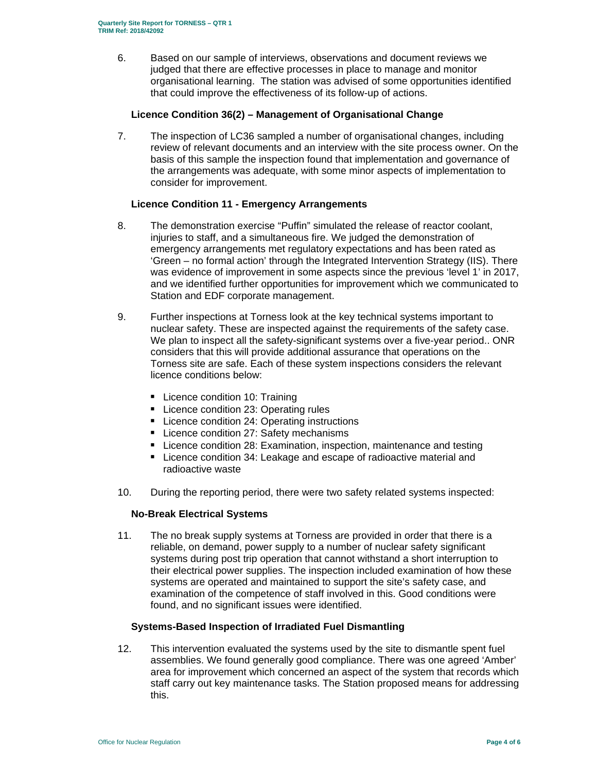6. Based on our sample of interviews, observations and document reviews we judged that there are effective processes in place to manage and monitor organisational learning. The station was advised of some opportunities identified that could improve the effectiveness of its follow-up of actions.

## **Licence Condition 36(2) – Management of Organisational Change**

7. The inspection of LC36 sampled a number of organisational changes, including review of relevant documents and an interview with the site process owner. On the basis of this sample the inspection found that implementation and governance of the arrangements was adequate, with some minor aspects of implementation to consider for improvement.

# **Licence Condition 11 - Emergency Arrangements**

- 8. The demonstration exercise "Puffin" simulated the release of reactor coolant, injuries to staff, and a simultaneous fire. We judged the demonstration of emergency arrangements met regulatory expectations and has been rated as 'Green – no formal action' through the Integrated Intervention Strategy (IIS). There was evidence of improvement in some aspects since the previous 'level 1' in 2017, and we identified further opportunities for improvement which we communicated to Station and EDF corporate management.
- 9. Further inspections at Torness look at the key technical systems important to nuclear safety. These are inspected against the requirements of the safety case. We plan to inspect all the safety-significant systems over a five-year period.. ONR considers that this will provide additional assurance that operations on the Torness site are safe. Each of these system inspections considers the relevant licence conditions below:
	- **Licence condition 10: Training**
	- **Licence condition 23: Operating rules**
	- **EXEC** Licence condition 24: Operating instructions
	- **Licence condition 27: Safety mechanisms**
	- Licence condition 28: Examination, inspection, maintenance and testing
	- Licence condition 34: Leakage and escape of radioactive material and radioactive waste
- 10. During the reporting period, there were two safety related systems inspected:

#### **No-Break Electrical Systems**

11. The no break supply systems at Torness are provided in order that there is a reliable, on demand, power supply to a number of nuclear safety significant systems during post trip operation that cannot withstand a short interruption to their electrical power supplies. The inspection included examination of how these systems are operated and maintained to support the site's safety case, and examination of the competence of staff involved in this. Good conditions were found, and no significant issues were identified.

### **Systems-Based Inspection of Irradiated Fuel Dismantling**

12. This intervention evaluated the systems used by the site to dismantle spent fuel assemblies. We found generally good compliance. There was one agreed 'Amber' area for improvement which concerned an aspect of the system that records which staff carry out key maintenance tasks. The Station proposed means for addressing this.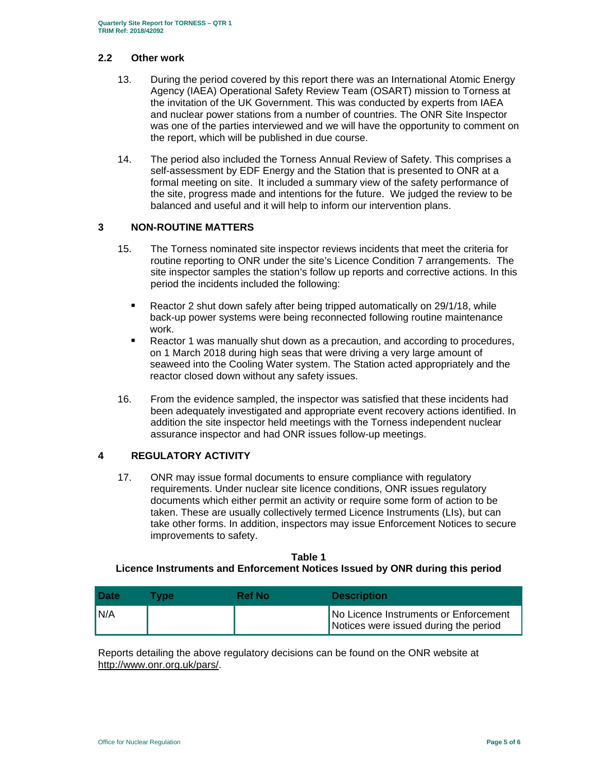#### **2.2 Other work**

- 13. During the period covered by this report there was an International Atomic Energy Agency (IAEA) Operational Safety Review Team (OSART) mission to Torness at the invitation of the UK Government. This was conducted by experts from IAEA and nuclear power stations from a number of countries. The ONR Site Inspector was one of the parties interviewed and we will have the opportunity to comment on the report, which will be published in due course.
- 14. The period also included the Torness Annual Review of Safety. This comprises a self-assessment by EDF Energy and the Station that is presented to ONR at a formal meeting on site. It included a summary view of the safety performance of the site, progress made and intentions for the future. We judged the review to be balanced and useful and it will help to inform our intervention plans.

## **3 NON-ROUTINE MATTERS**

- 15. The Torness nominated site inspector reviews incidents that meet the criteria for routine reporting to ONR under the site's Licence Condition 7 arrangements. The site inspector samples the station's follow up reports and corrective actions. In this period the incidents included the following:
	- Reactor 2 shut down safely after being tripped automatically on 29/1/18, while back-up power systems were being reconnected following routine maintenance work.
	- **Reactor 1 was manually shut down as a precaution, and according to procedures,** on 1 March 2018 during high seas that were driving a very large amount of seaweed into the Cooling Water system. The Station acted appropriately and the reactor closed down without any safety issues.
- 16. From the evidence sampled, the inspector was satisfied that these incidents had been adequately investigated and appropriate event recovery actions identified. In addition the site inspector held meetings with the Torness independent nuclear assurance inspector and had ONR issues follow-up meetings.

# **4 REGULATORY ACTIVITY**

17. ONR may issue formal documents to ensure compliance with regulatory requirements. Under nuclear site licence conditions, ONR issues regulatory documents which either permit an activity or require some form of action to be taken. These are usually collectively termed Licence Instruments (LIs), but can take other forms. In addition, inspectors may issue Enforcement Notices to secure improvements to safety.

## **Table 1 Licence Instruments and Enforcement Notices Issued by ONR during this period**

| <b>Date</b> | Tvpe | Ref No | <b>Description</b>                                                             |
|-------------|------|--------|--------------------------------------------------------------------------------|
| IN/A        |      |        | No Licence Instruments or Enforcement<br>Notices were issued during the period |

Reports detailing the above regulatory decisions can be found on the ONR website at http://www.onr.org.uk/pars/.